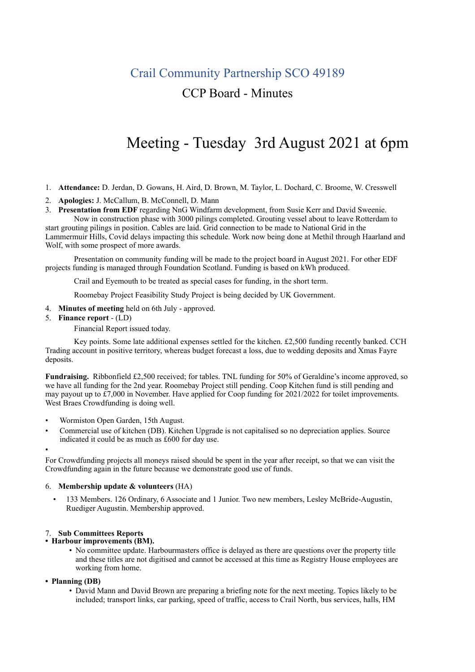## Crail Community Partnership SCO 49189

### CCP Board - Minutes

# Meeting - Tuesday 3rd August 2021 at 6pm

- 1. **Attendance:** D. Jerdan, D. Gowans, H. Aird, D. Brown, M. Taylor, L. Dochard, C. Broome, W. Cresswell
- 2. **Apologies:** J. McCallum, B. McConnell, D. Mann
- 3. **Presentation from EDF** regarding NnG Windfarm development, from Susie Kerr and David Sweenie.

Now in construction phase with 3000 pilings completed. Grouting vessel about to leave Rotterdam to start grouting pilings in position. Cables are laid. Grid connection to be made to National Grid in the Lammermuir Hills, Covid delays impacting this schedule. Work now being done at Methil through Haarland and Wolf, with some prospect of more awards.

Presentation on community funding will be made to the project board in August 2021. For other EDF projects funding is managed through Foundation Scotland. Funding is based on kWh produced.

Crail and Eyemouth to be treated as special cases for funding, in the short term.

Roomebay Project Feasibility Study Project is being decided by UK Government.

- 4. **Minutes of meeting** held on 6th July approved.
- 5. **Finance report**  (LD)

Financial Report issued today.

Key points. Some late additional expenses settled for the kitchen. £2,500 funding recently banked. CCH Trading account in positive territory, whereas budget forecast a loss, due to wedding deposits and Xmas Fayre deposits.

**Fundraising.** Ribbonfield £2,500 received; for tables. TNL funding for 50% of Geraldine's income approved, so we have all funding for the 2nd year. Roomebay Project still pending. Coop Kitchen fund is still pending and may payout up to £7,000 in November. Have applied for Coop funding for 2021/2022 for toilet improvements. West Braes Crowdfunding is doing well.

- Wormiston Open Garden, 15th August.
- Commercial use of kitchen (DB). Kitchen Upgrade is not capitalised so no depreciation applies. Source indicated it could be as much as £600 for day use.
- •

For Crowdfunding projects all moneys raised should be spent in the year after receipt, so that we can visit the Crowdfunding again in the future because we demonstrate good use of funds.

### 6. **Membership update & volunteers** (HA)

• 133 Members. 126 Ordinary, 6 Associate and 1 Junior. Two new members, Lesley McBride-Augustin, Ruediger Augustin. Membership approved.

# 7. **Sub Committees Reports • Harbour improvements (BM).**

- No committee update. Harbourmasters office is delayed as there are questions over the property title and these titles are not digitised and cannot be accessed at this time as Registry House employees are working from home.
- **• Planning (DB)**
	- David Mann and David Brown are preparing a briefing note for the next meeting. Topics likely to be included; transport links, car parking, speed of traffic, access to Crail North, bus services, halls, HM